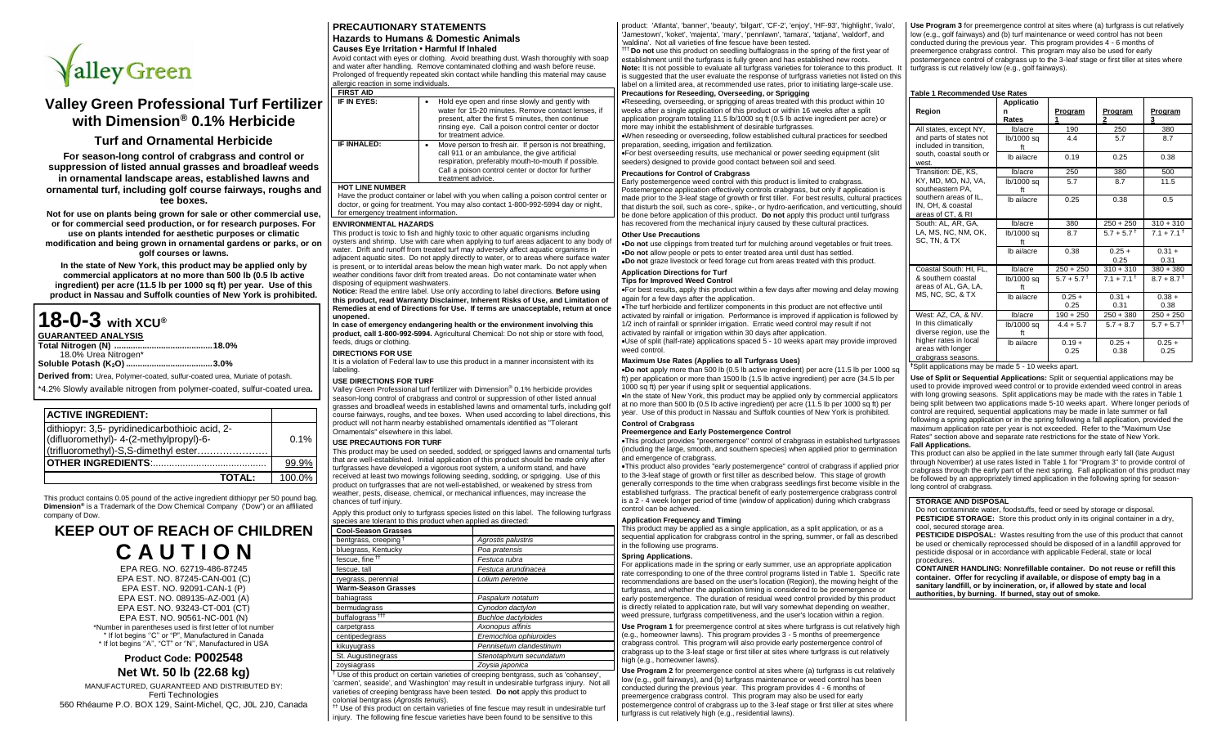

# **Valley Green Professional Turf Fertilizer with Dimension® 0.1% Herbicide**

## **Turf and Ornamental Herbicide**

**For season-long control of crabgrass and control or suppression of listed annual grasses and broadleaf weeds in ornamental landscape areas, established lawns and ornamental turf, including golf course fairways, roughs and tee boxes.**

**Not for use on plants being grown for sale or other commercial use, or for commercial seed production, or for research purposes. For use on plants intended for aesthetic purposes or climatic modification and being grown in ornamental gardens or parks, or on golf courses or lawns.**

**In the state of New York, this product may be applied only by commercial applicators at no more than 500 lb (0.5 lb active ingredient) per acre (11.5 lb per 1000 sq ft) per year. Use of this product in Nassau and Suffolk counties of New York is prohibited.**

| 18-0-3 with XCU®           |                                                                                   |
|----------------------------|-----------------------------------------------------------------------------------|
| <b>GUARANTEED ANALYSIS</b> |                                                                                   |
|                            |                                                                                   |
| 18.0% Urea Nitrogen*       |                                                                                   |
|                            |                                                                                   |
|                            | <b>Derived from:</b> Urea, Polymer-coated, sulfur-coated urea, Muriate of potash. |
|                            | *4.2% Slowly available nitrogen from polymer-coated, sulfur-coated urea.          |
|                            |                                                                                   |

# **ACTIVE INGREDIENT:**

| dithiopyr: 3,5- pyridinedicarbothioic acid, 2-<br>(difluoromethyl)- 4-(2-methylpropyl)-6-<br>(trifluoromethyl)-S,S-dimethyl ester | 0.1%   |
|-----------------------------------------------------------------------------------------------------------------------------------|--------|
|                                                                                                                                   | 99.9%  |
| <b>TOTAL:</b>                                                                                                                     | 100.0% |

This product contains 0.05 pound of the active ingredient dithiopyr per 50 pound bag. **Dimension®** is a Trademark of the Dow Chemical Company ('Dow") or an affiliated company of Dow.

# **KEEP OUT OF REACH OF CHILDREN C A U T I O N**

EPA REG. NO. 62719-486-87245 EPA EST. NO. 87245-CAN-001 (C) EPA EST. NO. 92091-CAN-1 (P) EPA EST. NO. 089135-AZ-001 (A) EPA EST. NO. 93243-CT-001 (CT) EPA EST. NO. 90561-NC-001 (N) \*Number in parentheses used is first letter of lot number \* If lot begins ''C'' or "P", Manufactured in Canada \* If lot begins ''A'', "CT" or ''N'', Manufactured in USA

# **Product Code: P002548 Net Wt. 50 lb (22.68 kg)**

MANUFACTURED, GUARANTEED AND DISTRIBUTED BY: Ferti Technologies 560 Rhéaume P.O. BOX 129, Saint-Michel, QC, J0L 2J0, Canada

# **PRECAUTIONARY STATEMENTS Hazards to Humans & Domestic Animals Causes Eye Irritation • Harmful If Inhaled**

Avoid contact with eyes or clothing. Avoid breathing dust. Wash thoroughly with soap and water after handling. Remove contaminated clothing and wash before reuse. Prolonged of frequently repeated skin contact while handling this material may cause allergic reaction in some individuals.

| <b>FIRST AID</b>       |                                                                                                                                                                                                                                           |
|------------------------|-------------------------------------------------------------------------------------------------------------------------------------------------------------------------------------------------------------------------------------------|
| IF IN EYES:            | Hold eye open and rinse slowly and gently with<br>water for 15-20 minutes. Remove contact lenses, if<br>present, after the first 5 minutes, then continue<br>rinsing eye. Call a poison control center or doctor<br>for treatment advice. |
| IF INHALED:            | Move person to fresh air. If person is not breathing,<br>call 911 or an ambulance, the give artificial<br>respiration, preferably mouth-to-mouth if possible.<br>Call a poison control center or doctor for further<br>treatment advice.  |
| <b>HOT LINE NUMBER</b> |                                                                                                                                                                                                                                           |

Have the product container or label with you when calling a poison control center or doctor, or going for treatment. You may also contact 1-800-992-5994 day or night, for emergency treatment information.

#### **ENVIRONMENTAL HAZARDS**

**FIRST** 

This product is toxic to fish and highly toxic to other aquatic organisms including oysters and shrimp. Use with care when applying to turf areas adjacent to any body of water. Drift and runoff from treated turf may adversely affect aquatic organisms in adjacent aquatic sites. Do not apply directly to water, or to areas where surface water is present, or to intertidal areas below the mean high water mark. Do not apply when weather conditions favor drift from treated areas. Do not contaminate water when disposing of equipment washwaters.

**Notice:** Read the entire label. Use only according to label directions. **Before using this product, read Warranty Disclaimer, Inherent Risks of Use, and Limitation of Remedies at end of Directions for Use. If terms are unacceptable, return at once unopened.**

#### **In case of emergency endangering health or the environment involving this product, call 1-800-992-5994.** Agricultural Chemical: Do not ship or store with food, .<br>feeds, drugs or clothing.

**DIRECTIONS FOR USE**

It is a violation of Federal law to use this product in a manner inconsistent with its labeling.

#### **USE DIRECTIONS FOR TURF**

Valley Green Professional turf fertilizer with Dimension® 0.1% herbicide provides season-long control of crabgrass and control or suppression of other listed annual grasses and broadleaf weeds in established lawns and ornamental turfs, including golf course fairways, roughs, and tee boxes. When used according to label directions, this product will not harm nearby established ornamentals identified as "Tolerant .<br>Ornamentals" elsewhere in this lahel.

#### **USE PRECAUTIONS FOR TURF**

This product may be used on seeded, sodded, or sprigged lawns and ornamental turfs that are well-established. Initial application of this product should be made only after turfgrasses have developed a vigorous root system, a uniform stand, and have received at least two mowings following seeding, sodding, or sprigging. Use of this product on turfgrasses that are not well-established, or weakened by stress from weather, pests, disease, chemical, or mechanical influences, may increase the chances of turf injury.

Apply this product only to turfgrass species listed on this label. The following turfgrass

| species are tolerant to this product when applied as directed: |                            |
|----------------------------------------------------------------|----------------------------|
| <b>Cool-Season Grasses</b>                                     |                            |
| bentgrass, creeping <sup>+</sup>                               | Agrostis palustris         |
| bluegrass, Kentucky                                            | Poa pratensis              |
| fescue, fine <sup>tt</sup>                                     | Festuca rubra              |
| fescue, tall                                                   | Festuca arundinacea        |
| ryegrass, perennial                                            | Lolium perenne             |
| <b>Warm-Season Grasses</b>                                     |                            |
| bahiagrass                                                     | Paspalum notatum           |
| bermudagrass                                                   | Cynodon dactylon           |
| buffalograss <sup>ttt</sup>                                    | <b>Buchloe dactyloides</b> |
| carpetgrass                                                    | Axonopus affinis           |
| centipedegrass                                                 | Eremochloa ophiuroides     |
| kikuyugrass                                                    | Pennisetum clandestinum    |
| St. Augustinegrass                                             | Stenotaphrum secundatum    |
| zoysiagrass                                                    | Zoysia japonica            |

† Use of this product on certain varieties of creeping bentgrass, such as 'cohansey', 'carmen', seaside', and 'Washington' may result in undesirable turfgrass injury. Not all varieties of creeping bentgrass have been tested. **Do not** apply this product to colonial bentgrass (*Agrostis tenuis*).

†† Use of this product on certain varieties of fine fescue may result in undesirable turf injury. The following fine fescue varieties have been found to be sensitive to this

product: 'Atlanta', 'banner', 'beauty', 'bilgart', 'CF-2', 'enjoy', 'HF-93', 'highlight', 'ivalo', 'Jamestown', 'koket', 'majenta', 'mary', 'pennlawn', 'tamara', 'tatjana', 'waldorf', and 'waldina'. Not all varieties of fine fescue have been tested.

††† **Do not** use this product on seedling buffalograss in the spring of the first year of establishment until the turfgrass is fully green and has established new roots. **Note:** It is not possible to evaluate all turfgrass varieties for tolerance to this product. is suggested that the user evaluate the response of turfgrass varieties not listed on this label on a limited area, at recommended use rates, prior to initiating large-scale use.

### **Precautions for Reseeding, Overseeding, or Sprigging**

•Reseeding, overseeding, or sprigging of areas treated with this product within 10 weeks after a single application of this product or within 16 weeks after a split application program totaling 11.5 lb/1000 sq ft (0.5 lb active ingredient per acre) or more may inhibit the establishment of desirable turfgrasses. •When reseeding or overseeding, follow established cultural practices for seedbed

preparation, seeding, irrigation and fertilization.

•For best overseeding results, use mechanical or power seeding equipment (slit seeders) designed to provide good contact between soil and seed.

### **Precautions for Control of Crabgrass**

Early postemergence weed control with this product is limited to crabgrass. Postemergence application effectively controls crabgrass, but only if application is made prior to the 3-leaf stage of growth or first tiller. For best results, cultural practices that disturb the soil, such as core-, spike-, or hydro-aerification, and verticutting, should be done before application of this product. **Do not** apply this product until turfgrass has recovered from the mechanical injury caused by these cultural practices.

#### **Other Use Precautions**

•**Do not** use clippings from treated turf for mulching around vegetables or fruit trees. •**Do not** allow people or pets to enter treated area until dust has settled. •**Do not** graze livestock or feed forage cut from areas treated with this product.

#### **Application Directions for Turf**

#### **Tips for Improved Weed Control**

•For best results, apply this product within a few days after mowing and delay mowing again for a few days after the application.

•The turf herbicide and fertilizer components in this product are not effective until activated by rainfall or irrigation. Performance is improved if application is followed by 1/2 inch of rainfall or sprinkler irrigation. Erratic weed control may result if not activated by rainfall or irrigation within 30 days after application.

•Use of split (half-rate) applications spaced 5 - 10 weeks apart may provide improved weed control.

#### **Maximum Use Rates (Applies to all Turfgrass Uses)**

•**Do not** apply more than 500 lb (0.5 lb active ingredient) per acre (11.5 lb per 1000 sq ft) per application or more than 1500 lb (1.5 lb active ingredient) per acre (34.5 lb per 1000 sq ft) per year if using split or sequential applications.

•In the state of New York, this product may be applied only by commercial applicators at no more than 500 lb (0.5 lb active ingredient) per acre (11.5 lb per 1000 sq ft) per year. Use of this product in Nassau and Suffolk counties of New York is prohibited.

#### **Control of Crabgrass Preemergence and Early Postemergence Control**

•This product provides "preemergence" control of crabgrass in established turfgrasses (including the large, smooth, and southern species) when applied prior to germination and emergence of crabgrass.

•This product also provides "early postemergence" control of crabgrass if applied prior to the 3-leaf stage of growth or first tiller as described below. This stage of growth generally corresponds to the time when crabgrass seedlings first become visible in the established turfgrass. The practical benefit of early postemergence crabgrass control is a 2 - 4 week longer period of time (window of application) during which crabgrass control can be achieved.

#### **Application Frequency and Timing**

This product may be applied as a single application, as a split application, or as a sequential application for crabgrass control in the spring, summer, or fall as described in the following use programs.

#### **Spring Applications.**

For applications made in the spring or early summer, use an appropriate application rate corresponding to one of the three control programs listed in Table 1. Specific rate recommendations are based on the user's location (Region), the mowing height of the turfgrass, and whether the application timing is considered to be preemergence or early postemergence. The duration of residual weed control provided by this product is directly related to application rate, but will vary somewhat depending on weather, weed pressure, turfgrass competitiveness, and the user's location within a region.

**Use Program 1** for preemergence control at sites where turfgrass is cut relatively high (e.g., homeowner lawns). This program provides 3 - 5 months of preemergence crabgrass control. This program will also provide early postemergence control of crabgrass up to the 3-leaf stage or first tiller at sites where turfgrass is cut relatively high (e.g., homeowner lawns).

**Use Program 2** for preemergence control at sites where (a) turfgrass is cut relatively low (e.g., golf fairways), and (b) turfgrass maintenance or weed control has been conducted during the previous year. This program provides 4 - 6 months of preemergence crabgrass control. This program may also be used for early postemergence control of crabgrass up to the 3-leaf stage or first tiller at sites where turfgrass is cut relatively high (e.g., residential lawns).

Use Program 3 for preemergence control at sites where (a) turfgrass is cut relatively low (e.g., golf fairways) and (b) turf maintenance or weed control has not been conducted during the previous year. This program provides 4 - 6 months of preemergence crabgrass control. This program may also be used for early postemergence control of crabgrass up to the 3-leaf stage or first tiller at sites where turfgrass is cut relatively low (e.g., golf fairways).

#### **Table 1 Recommended Use Rates**

| Region                                                           | Applicatio<br>n<br>Rates | Program<br>1          | Program<br>2     | Program<br>3             |
|------------------------------------------------------------------|--------------------------|-----------------------|------------------|--------------------------|
| All states, except NY,                                           | lb/acre                  | 190                   | 250              | 380                      |
| and parts of states not<br>included in transition.               | lb/1000 sq<br>ft         | 4.4                   | 5.7              | 8.7                      |
| south, coastal south or<br>west.                                 | Ib ai/acre               | 0.19                  | 0.25             | 0.38                     |
| Transition: DE. KS.                                              | lb/acre                  | 250                   | 380              | 500                      |
| KY, MD, MO, NJ, VA,<br>southeastern PA.                          | lb/1000 sa<br>ft         | 5.7                   | 8.7              | 11.5                     |
| southern areas of IL.<br>IN, OH, & coastal<br>areas of CT, & RI  | Ib ai/acre               | 0.25                  | 0.38             | 0.5                      |
| South: AL. AR. GA.                                               | lb/acre                  | 380                   | $250 + 250$      | $310 + 310$              |
| LA, MS, NC, NM, OK,<br>SC, TN, & TX                              | lb/1000 sa<br>ft         | 8.7                   | $5.7 + 5.7^+$    | $7.1 + 7.1^+$            |
|                                                                  | Ib ai/acre               | 0.38                  | $0.25 +$<br>0.25 | $0.31 +$<br>0.31         |
| Coastal South: HI, FL,                                           | lb/acre                  | $250 + 250$           | $310 + 310$      | $380 + 380$              |
| & southern coastal<br>areas of AL. GA. LA.                       | lb/1000 sq<br>ft         | $5.7 + 5.7^{\dagger}$ | $7.1 + 7.1^+$    | $8.7 + 8.7$ <sup>†</sup> |
| MS, NC, SC, & TX                                                 | Ib ai/acre               | $0.25 +$<br>0.25      | $0.31 +$<br>0.31 | $0.38 +$<br>0.38         |
| West: AZ. CA. & NV.                                              | lb/acre                  | $190 + 250$           | $250 + 380$      | $250 + 250$              |
| In this climatically<br>diverse region, use the                  | lb/1000 sq<br>ft         | $4.4 + 5.7$           | $5.7 + 8.7$      | $5.7 + 5.7$ <sup>T</sup> |
| higher rates in local<br>areas with longer<br>crabgrass seasons. | Ib ai/acre               | $0.19 +$<br>0.25      | $0.25 +$<br>0.38 | $0.25 +$<br>0.25         |

**†**Split applications may be made 5 - 10 weeks apart.

**Use of Split or Sequential Applications:** Split or sequential applications may be used to provide improved weed control or to provide extended weed control in areas with long growing seasons. Split applications may be made with the rates in Table 1 being split between two applications made 5-10 weeks apart. Where longer periods of control are required, sequential applications may be made in late summer or fall following a spring application or in the spring following a fall application, provided the maximum application rate per year is not exceeded. Refer to the "Maximum Use Rates" section above and separate rate restrictions for the state of New York. **Fall Applications.**

This product can also be applied in the late summer through early fall (late August through November) at use rates listed in Table 1 for "Program 3" to provide control of crabgrass through the early part of the next spring. Fall application of this product may be followed by an appropriately timed application in the following spring for seasonlong control of crabgrass.

#### **STORAGE AND DISPOSAL**

Do not contaminate water, foodstuffs, feed or seed by storage or disposal. **PESTICIDE STORAGE:** Store this product only in its original container in a dry, cool, secured storage area.

**PESTICIDE DISPOSAL:** Wastes resulting from the use of this product that cannot be used or chemically reprocessed should be disposed of in a landfill approved for pesticide disposal or in accordance with applicable Federal, state or local procedures.

**CONTAINER HANDLING: Nonrefillable container. Do not reuse or refill this container. Offer for recycling if available, or dispose of empty bag in a sanitary landfill, or by incineration, or, if allowed by state and local authorities, by burning. If burned, stay out of smoke.**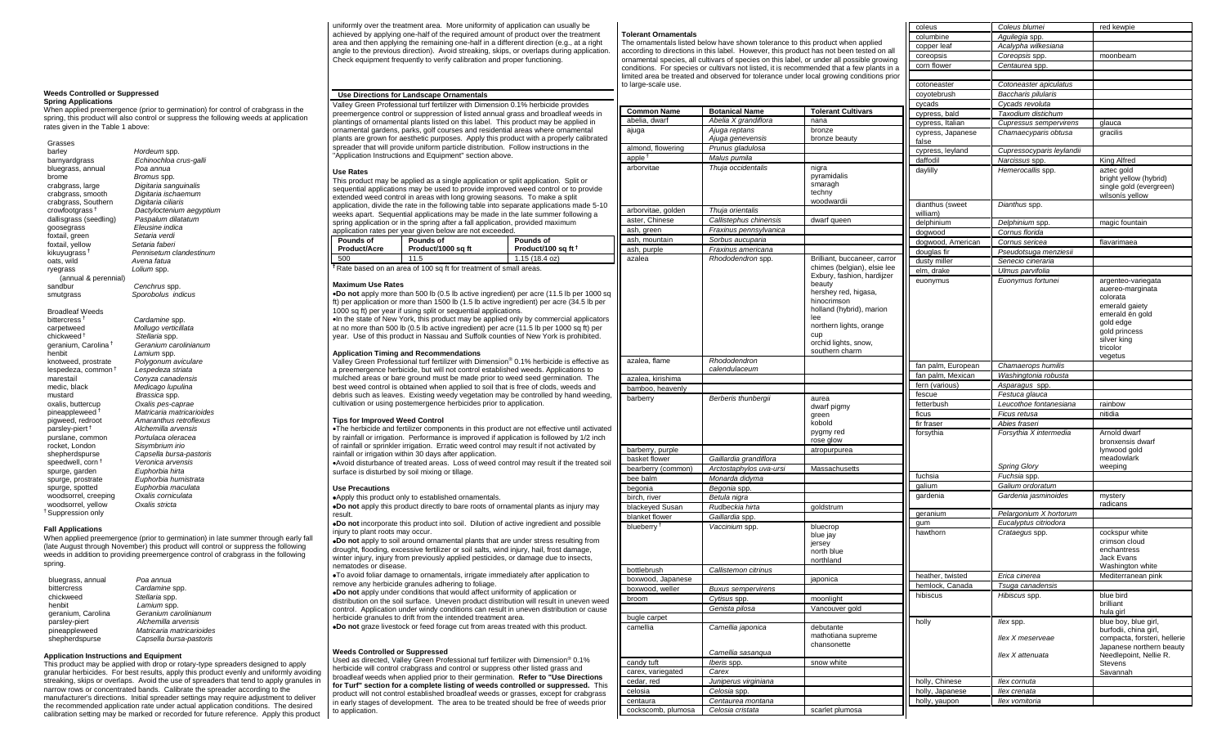#### uniformly over the treatment area. More uniformity of application can usually be achieved by applying one-half of the required amount of product over the treatment area and then applying the remaining one-half in a different direction (e.g., at a right angle to the previous direction). Avoid streaking, skips, or overlaps during application. Check equipment frequently to verify calibration and proper functioning.

#### **Use Directions for Landscape Ornamentals**

Valley Green Professional turf fertilizer with Dimension 0.1% herbicide provides preemergence control or suppression of listed annual grass and broadleaf weeds in plantings of ornamental plants listed on this label. This product may be applied in ornamental gardens, parks, golf courses and residential areas where ornamental plants are grown for aesthetic purposes. Apply this product with a properly calibrated spreader that will provide uniform particle distribution. Follow instructions in the "Application Instructions and Equipment" section above.

#### **Use Rates**

| <b>Pounds of</b><br>Pounds of                                                            |  |  |  |  |  |
|------------------------------------------------------------------------------------------|--|--|--|--|--|
| application rates per year given below are not exceeded.                                 |  |  |  |  |  |
| spring application or in the spring after a fall application, provided maximum           |  |  |  |  |  |
| weeks apart. Sequential applications may be made in the late summer following a          |  |  |  |  |  |
| application, divide the rate in the following table into separate applications made 5-10 |  |  |  |  |  |
| extended weed control in areas with long growing seasons. To make a split                |  |  |  |  |  |
| sequential applications may be used to provide improved weed control or to provide       |  |  |  |  |  |
| This product may be applied as a single application or split application. Split or       |  |  |  |  |  |

**Product/100 sq ft †**

**Product/Acre Product/1000 sq ft**  $115(18.4 \text{ oz})$ **†** Rate based on an area of 100 sq ft for treatment of small areas.

#### **Maximum Use Rates**

•**Do not** apply more than 500 lb (0.5 lb active ingredient) per acre (11.5 lb per 1000 sq ft) per application or more than 1500 lb (1.5 lb active ingredient) per acre (34.5 lb per 1000 sq ft) per year if using split or sequential applications. •In the state of New York, this product may be applied only by commercial applicators at no more than 500 lb (0.5 lb active ingredient) per acre (11.5 lb per 1000 sq ft) per year. Use of this product in Nassau and Suffolk counties of New York is prohibited.

#### **Application Timing and Recommendations**

Valley Green Professional turf fertilizer with Dimension® 0.1% herbicide is effective as a preemergence herbicide, but will not control established weeds. Applications to mulched areas or bare ground must be made prior to weed seed germination. The best weed control is obtained when applied to soil that is free of clods, weeds and debris such as leaves. Existing weedy vegetation may be controlled by hand weeding, cultivation or using postemergence herbicides prior to application.

#### **Tips for Improved Weed Control**

•The herbicide and fertilizer components in this product are not effective until activated by rainfall or irrigation. Performance is improved if application is followed by 1/2 inch of rainfall or sprinkler irrigation. Erratic weed control may result if not activated by rainfall or irrigation within 30 days after application. •Avoid disturbance of treated areas. Loss of weed control may result if the treated soil surface is disturbed by soil mixing or tillage.

#### **Use Precautions**

•Apply this product only to established ornamentals. •**Do not** apply this product directly to bare roots of ornamental plants as injury may

result. •**Do not** incorporate this product into soil. Dilution of active ingredient and possible

injury to plant roots may occur. •**Do not** apply to soil around ornamental plants that are under stress resulting from

drought, flooding, excessive fertilizer or soil salts, wind injury, hail, frost damage, winter injury, injury from previously applied pesticides, or damage due to insects, nematodes or disease.

•To avoid foliar damage to ornamentals, irrigate immediately after application to remove any herbicide granules adhering to foliage.

•**Do not** apply under conditions that would affect uniformity of application or distribution on the soil surface. Uneven product distribution will result in uneven weed control. Application under windy conditions can result in uneven distribution or cause herbicide granules to drift from the intended treatment area. •**Do not** graze livestock or feed forage cut from areas treated with this product.

#### **Weeds Controlled or Suppressed**

Used as directed, Valley Green Professional turf fertilizer with Dimension® 0.1% herbicide will control crabgrass and control or suppress other listed grass and broadleaf weeds when applied prior to their germination. **Refer to "Use Directions for Turf" section for a complete listing of weeds controlled or suppressed.** This product will not control established broadleaf weeds or grasses, except for crabgrass in early stages of development. The area to be treated should be free of weeds prior to application.

#### **Tolerant Ornamentals**

The ornamentals listed below have shown tolerance to this product when applied according to directions in this label. However, this product has not been tested or according to directions in this label. However, this product has not been tested on all ornamental species, all cultivars of species on this label, or under all possible growing

|                          |                                   | according to directions in this label. However, this product has not been tested on all<br>ornamental species, all cultivars of species on this label, or under all possible growing       | coreopsis                   | Coreopsis spp.                     | moonbeam                                                                                                                                                    |
|--------------------------|-----------------------------------|--------------------------------------------------------------------------------------------------------------------------------------------------------------------------------------------|-----------------------------|------------------------------------|-------------------------------------------------------------------------------------------------------------------------------------------------------------|
|                          |                                   | conditions. For species or cultivars not listed, it is recommended that a few plants in a                                                                                                  | corn flower                 | Centaurea spp                      |                                                                                                                                                             |
|                          |                                   | limited area be treated and observed for tolerance under local growing conditions prior                                                                                                    |                             |                                    |                                                                                                                                                             |
| to large-scale use.      |                                   |                                                                                                                                                                                            | cotoneaster                 | Cotoneaster apiculatus             |                                                                                                                                                             |
|                          |                                   |                                                                                                                                                                                            | coyotebrush                 | Baccharis pilularis                |                                                                                                                                                             |
|                          |                                   |                                                                                                                                                                                            | cycads                      | Cycads revoluta                    |                                                                                                                                                             |
| <b>Common Name</b>       | <b>Botanical Name</b>             | <b>Tolerant Cultivars</b>                                                                                                                                                                  | cypress, bald               | Taxodium distichum                 |                                                                                                                                                             |
| abelia, dwarf            | Abelia X grandiflora              | nana                                                                                                                                                                                       | cypress, Italian            | <b>Cupressus sempervirens</b>      | glauca                                                                                                                                                      |
| ajuga                    | Ajuga reptans<br>Ajuga genevensis | bronze<br>bronze beauty                                                                                                                                                                    | cypress, Japanese           | Chamaecyparis obtusa               | gracilis                                                                                                                                                    |
| almond, flowering        | Prunus gladulosa                  |                                                                                                                                                                                            | false                       |                                    |                                                                                                                                                             |
| apple $1$                | Malus pumila                      |                                                                                                                                                                                            | cypress, leyland            | Cupressocyparis leylandii          |                                                                                                                                                             |
| arborvitae               | Thuja occidentalis                | nigra                                                                                                                                                                                      | daffodil                    | Narcissus spp.                     | King Alfred                                                                                                                                                 |
|                          |                                   | pyramidalis<br>smaragh<br>techny<br>woodwardii                                                                                                                                             | daylilly<br>dianthus (sweet | Hemerocallis spp.<br>Dianthus spp. | aztec gold<br>bright yellow (hybrid)<br>single gold (evergreen)<br>wilsonís yellow                                                                          |
| arborvitae, golden       | Thuja orientalis                  |                                                                                                                                                                                            | william)                    |                                    |                                                                                                                                                             |
| aster, Chinese           | Callistephus chinensis            | dwarf queen                                                                                                                                                                                | delphinium                  | Delphinium spp.                    | magic fountain                                                                                                                                              |
| ash, green               | Fraxinus pennsylvanica            |                                                                                                                                                                                            | dogwood                     | Cornus florida                     |                                                                                                                                                             |
| ash, mountain            | Sorbus aucuparia                  |                                                                                                                                                                                            | dogwood, American           | Cornus sericea                     | flavarimaea                                                                                                                                                 |
| ash, purple              | Fraxinus americana                |                                                                                                                                                                                            | douglas fir                 | Pseudotsuga menziesii              |                                                                                                                                                             |
| azalea                   | Rhododendron spp.                 | Brilliant, buccaneer, carror                                                                                                                                                               | dusty miller                | Senecio cineraria                  |                                                                                                                                                             |
|                          |                                   | chimes (belgian), elsie lee                                                                                                                                                                | elm, drake                  | Ulmus parvifolia                   |                                                                                                                                                             |
|                          |                                   | Exbury, fashion, hardijzer<br>beauty<br>hershey red, higasa,<br>hinocrimson<br>holland (hybrid), marion<br>lee<br>northern lights, orange<br>cup<br>orchid lights, snow,<br>southern charm | euonymus                    | Euonymus fortunei                  | argenteo-variegata<br>auereo-marginata<br>colorata<br>emerald gaiety<br>emerald ën gold<br>gold edge<br>gold princess<br>silver king<br>tricolor<br>vegetus |
| azalea, flame            | Rhododendron                      |                                                                                                                                                                                            | fan palm, European          | Chamaerops humilis                 |                                                                                                                                                             |
|                          | calendulaceum                     |                                                                                                                                                                                            | fan palm, Mexican           | Washingtonia robusta               |                                                                                                                                                             |
| azalea, kirishima        |                                   |                                                                                                                                                                                            | fern (various)              | Asparagus spp.                     |                                                                                                                                                             |
| bamboo, heavenly         |                                   |                                                                                                                                                                                            | fescue                      | Festuca glauca                     |                                                                                                                                                             |
| barberry                 | Berberis thunbergii               | aurea                                                                                                                                                                                      | fetterbush                  | Leucothoe fontanesiana             | rainbow                                                                                                                                                     |
|                          |                                   | dwarf pigmy<br>green                                                                                                                                                                       | ficus                       | Ficus retusa                       | nitidia                                                                                                                                                     |
|                          |                                   | kobold                                                                                                                                                                                     | fir fraser                  | Abies fraseri                      |                                                                                                                                                             |
|                          |                                   | pygmy red                                                                                                                                                                                  | forsythia                   | Forsythia X intermedia             | Arnold dwarf                                                                                                                                                |
|                          |                                   | rose glow                                                                                                                                                                                  |                             |                                    | bronxensis dwarf                                                                                                                                            |
| barberry, purple         |                                   | atropurpurea                                                                                                                                                                               |                             |                                    | lynwood gold                                                                                                                                                |
| basket flower            | Gaillardia grandiflora            |                                                                                                                                                                                            |                             |                                    | meadowlark                                                                                                                                                  |
| bearberry (common)       | Arctostaphylos uva-ursi           | Massachusetts                                                                                                                                                                              |                             | <b>Spring Glory</b>                | weeping                                                                                                                                                     |
| bee balm                 | Monarda didyma                    |                                                                                                                                                                                            | fuchsia                     | Fuchsia spp.                       |                                                                                                                                                             |
| begonia                  | Begonia spp.                      |                                                                                                                                                                                            | galium                      | Galium ordoratum                   |                                                                                                                                                             |
| birch, river             | Betula nigra                      |                                                                                                                                                                                            | gardenia                    | Gardenia jasminoides               | mystery                                                                                                                                                     |
| blackeyed Susan          | Rudbeckia hirta                   | goldstrum                                                                                                                                                                                  |                             |                                    | radicans                                                                                                                                                    |
| blanket flower           | Gaillardia spp.                   |                                                                                                                                                                                            | geranium                    | Pelargonium X hortorum             |                                                                                                                                                             |
| blueberry <sup>+</sup>   | Vaccinium spp.                    | bluecrop                                                                                                                                                                                   | gum                         | Eucalyptus citriodora              |                                                                                                                                                             |
|                          |                                   | blue jay<br>jersey<br>north blue<br>northland                                                                                                                                              | hawthorn                    | Crataegus spp.                     | cockspur white<br>crimson cloud<br>enchantress<br>Jack Evans<br>Washington white                                                                            |
| bottlebrush              | Callistemon citrinus              |                                                                                                                                                                                            | heather, twisted            | Erica cinerea                      | Mediterranean pink                                                                                                                                          |
| boxwood, Japanese        |                                   | japonica                                                                                                                                                                                   | hemlock, Canada             | Tsuga canadensis                   |                                                                                                                                                             |
| boxwood, weller          | <b>Buxus sempervirens</b>         |                                                                                                                                                                                            | hibiscus                    | Hibiscus spp                       | blue bird                                                                                                                                                   |
| broom                    | Cytisus spp.                      | moonlight                                                                                                                                                                                  |                             |                                    | brilliant                                                                                                                                                   |
|                          | Genista pilosa                    | Vancouver gold                                                                                                                                                                             |                             |                                    | hula girl                                                                                                                                                   |
| bugle carpet<br>camellia | Camellia japonica                 | debutante<br>mathotiana supreme<br>chansonette                                                                                                                                             | holly                       | llex spp.<br>llex X meserveae      | blue boy, blue girl,<br>burfodii, china girl,<br>compacta, forsteri, hellerie<br>Japanese northern beauty                                                   |
|                          | Camellia sasangua                 |                                                                                                                                                                                            |                             | Ilex X attenuata                   | Needlepoint, Nellie R.                                                                                                                                      |
| candy tuft               | Iberis spp.                       | snow white                                                                                                                                                                                 |                             |                                    | <b>Stevens</b>                                                                                                                                              |
| carex, variegated        | Carex                             |                                                                                                                                                                                            |                             |                                    | Savannah                                                                                                                                                    |
| cedar, red               | Juniperus virginiana              |                                                                                                                                                                                            | holly, Chinese              | llex cornuta                       |                                                                                                                                                             |
| celosia                  | Celosia spp.                      |                                                                                                                                                                                            | holly, Japanese             | Ilex crenata                       |                                                                                                                                                             |
| centaura                 | Centaurea montana                 |                                                                                                                                                                                            | holly, yaupon               | Ilex vomitoria                     |                                                                                                                                                             |
| cockscomb, plumosa       | Celosia cristata                  | scarlet plumosa                                                                                                                                                                            |                             |                                    |                                                                                                                                                             |

coleus *Coleus blumei* red kewpie columbine *Aguilegia* spp.

copper leaf *Acalypha wilkesiana*

#### **Weeds Controlled or Suppressed Spring Applications**

When applied preemergence (prior to germination) for control of crabgrass in the spring, this product will also control or suppress the following weeds at application

rates given in the Table 1 above:

Grasses<br>barlev

| barley                                             | Hordeum spp.                           |
|----------------------------------------------------|----------------------------------------|
| barnyardgrass                                      | Echinochloa crus-galli                 |
| bluegrass, annual                                  | Poa annua                              |
| brome                                              | Bromus spp.                            |
| crabgrass, large                                   | Digitaria sanguinalis                  |
| crabgrass, smooth                                  | Digitaria ischaemum                    |
| crabgrass, Southern                                | Digitaria ciliaris                     |
| crowfootgrass <sup>+</sup>                         | Dactyloctenium aegyptium               |
| dallisgrass (seedling)                             | Paspalum dilatatum                     |
| goosegrass                                         | Eleusine indica                        |
| foxtail, green                                     | Setaria verdi                          |
| foxtail, yellow                                    | Setaria faberi                         |
| kikuyugrass <sup>†</sup>                           | Pennisetum clandestinum                |
| oats, wild                                         | Avena fatua                            |
| ryegrass                                           | Lolium spp.                            |
| (annual & perennial)                               |                                        |
| sandbur                                            | Cenchrus spp.                          |
| smutgrass                                          | Sporobolus indicus                     |
|                                                    |                                        |
| <b>Broadleaf Weeds</b><br>bittercress <sup>†</sup> |                                        |
| carpetweed                                         | Cardamine spp.<br>Mollugo verticillata |
| chickweed <sup>+</sup>                             | Stellaria spp.                         |
| geranium, Carolina <sup>†</sup>                    | Geranium carolinianum                  |
| henbit                                             | Lamium spp.                            |
| knotweed, prostrate                                | Polygonum aviculare                    |
| lespedeza, common <sup>+</sup>                     | Lespedeza striata                      |
| marestail                                          | Conyza canadensis                      |
| medic, black                                       | Medicago lupulina                      |
| mustard                                            | Brassica spp.                          |
| oxalis, buttercup                                  | Oxalis pes-caprae                      |
| pineappleweed <sup>†</sup>                         | Matricaria matricarioides              |
| pigweed, redroot                                   | Amaranthus retroflexus                 |
| parsley-piert <sup>†</sup>                         | Alchemilla arvensis                    |
| purslane, common                                   | Portulaca oleracea                     |
| rocket, London                                     | Sisymbrium irio                        |
| shepherdspurse                                     | Capsella bursa-pastoris                |
| speedwell, corn <sup>+</sup>                       | Veronica arvensis                      |
| spurge, garden                                     | Euphorbia hirta                        |
| spurge, prostrate                                  | Euphorbia humistrata                   |
| spurge, spotted                                    | Euphorbia maculata                     |
| woodsorrel, creeping                               | Oxalis corniculata                     |
| woodsorrel, yellow                                 | Oxalis stricta                         |
| <sup>†</sup> Suppression only                      |                                        |

#### **Fall Applications**

When applied preemergence (prior to germination) in late summer through early fall (late August through November) this product will control or suppress the following weeds in addition to providing preemergence control of crabgrass in the following spring

| bluegrass, annual  | Poa annua                 |
|--------------------|---------------------------|
| bittercress        | Cardamine spp.            |
| chickweed          | Stellaria spp.            |
| henbit             | Lamium spp.               |
| geranium, Carolina | Geranium carolinianum     |
| parsley-piert      | Alchemilla arvensis       |
| pineappleweed      | Matricaria matricarioides |
| shepherdspurse     | Capsella bursa-pastoris   |
|                    |                           |

#### **Application Instructions and Equipment**

This product may be applied with drop or rotary-type spreaders designed to apply granular herbicides. For best results, apply this product evenly and uniformly avoiding streaking, skips or overlaps. Avoid the use of spreaders that tend to apply granules in narrow rows or concentrated bands. Calibrate the spreader according to the manufacturer's directions. Initial spreader settings may require adjustment to deliver the recommended application rate under actual application conditions. The desired calibration setting may be marked or recorded for future reference. Apply this product